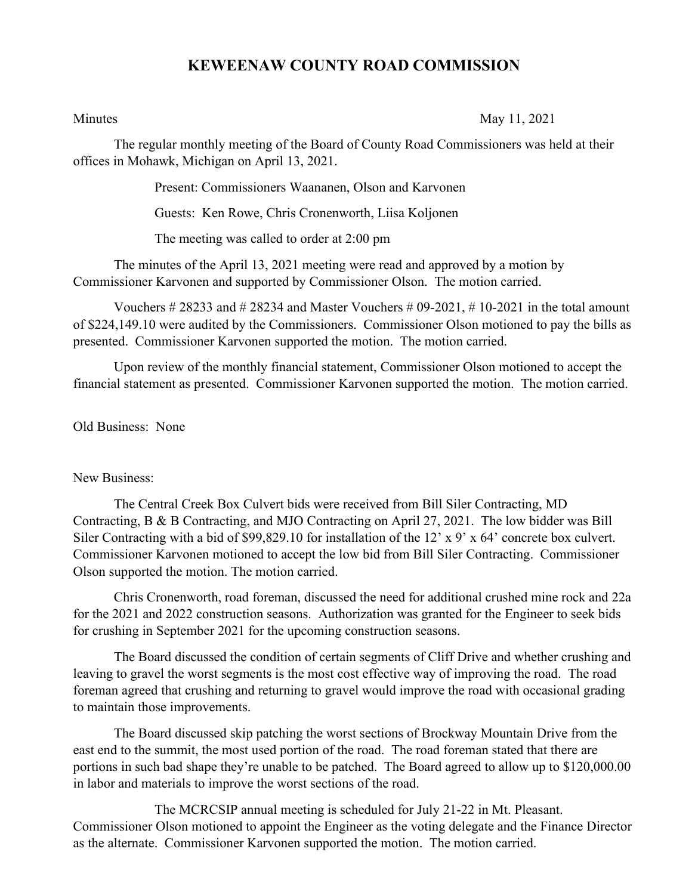## **KEWEENAW COUNTY ROAD COMMISSION**

Minutes May 11, 2021

The regular monthly meeting of the Board of County Road Commissioners was held at their offices in Mohawk, Michigan on April 13, 2021.

Present: Commissioners Waananen, Olson and Karvonen

Guests: Ken Rowe, Chris Cronenworth, Liisa Koljonen

The meeting was called to order at 2:00 pm

The minutes of the April 13, 2021 meeting were read and approved by a motion by Commissioner Karvonen and supported by Commissioner Olson. The motion carried.

Vouchers  $\# 28233$  and  $\# 28234$  and Master Vouchers  $\# 09-2021$ ,  $\# 10-2021$  in the total amount of \$224,149.10 were audited by the Commissioners. Commissioner Olson motioned to pay the bills as presented. Commissioner Karvonen supported the motion. The motion carried.

Upon review of the monthly financial statement, Commissioner Olson motioned to accept the financial statement as presented. Commissioner Karvonen supported the motion. The motion carried.

Old Business: None

## New Business:

The Central Creek Box Culvert bids were received from Bill Siler Contracting, MD Contracting, B & B Contracting, and MJO Contracting on April 27, 2021. The low bidder was Bill Siler Contracting with a bid of \$99,829.10 for installation of the 12' x 9' x 64' concrete box culvert. Commissioner Karvonen motioned to accept the low bid from Bill Siler Contracting. Commissioner Olson supported the motion. The motion carried.

Chris Cronenworth, road foreman, discussed the need for additional crushed mine rock and 22a for the 2021 and 2022 construction seasons. Authorization was granted for the Engineer to seek bids for crushing in September 2021 for the upcoming construction seasons.

The Board discussed the condition of certain segments of Cliff Drive and whether crushing and leaving to gravel the worst segments is the most cost effective way of improving the road. The road foreman agreed that crushing and returning to gravel would improve the road with occasional grading to maintain those improvements.

The Board discussed skip patching the worst sections of Brockway Mountain Drive from the east end to the summit, the most used portion of the road. The road foreman stated that there are portions in such bad shape they're unable to be patched. The Board agreed to allow up to \$120,000.00 in labor and materials to improve the worst sections of the road.

The MCRCSIP annual meeting is scheduled for July 21-22 in Mt. Pleasant. Commissioner Olson motioned to appoint the Engineer as the voting delegate and the Finance Director as the alternate. Commissioner Karvonen supported the motion. The motion carried.